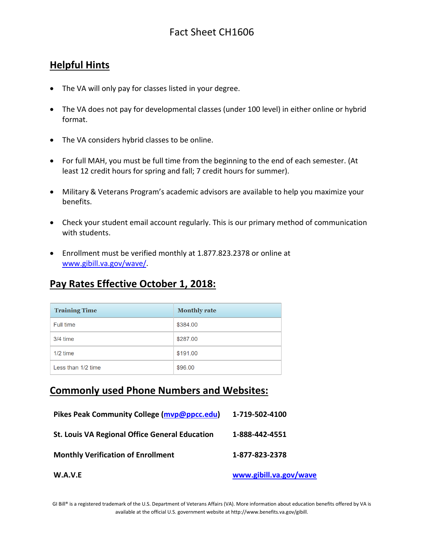## Fact Sheet CH1606

### **Helpful Hints**

- The VA will only pay for classes listed in your degree.
- The VA does not pay for developmental classes (under 100 level) in either online or hybrid format.
- The VA considers hybrid classes to be online.
- For full MAH, you must be full time from the beginning to the end of each semester. (At least 12 credit hours for spring and fall; 7 credit hours for summer).
- Military & Veterans Program's academic advisors are available to help you maximize your benefits.
- Check your student email account regularly. This is our primary method of communication with students.
- Enrollment must be verified monthly at 1.877.823.2378 or online at [www.gibill.va.gov/wave/.](http://www.gibill.va.gov/wave/)

# **Pay Rates Effective October 1, 2018:**

| <b>Training Time</b> | <b>Monthly rate</b> |
|----------------------|---------------------|
| Full time            | \$384.00            |
| $3/4$ time           | \$287.00            |
| $1/2$ time           | \$191.00            |
| Less than 1/2 time   | \$96.00             |

#### **Commonly used Phone Numbers and Websites:**

| W.A.V.E                                               | www.gibill.va.gov/wave |
|-------------------------------------------------------|------------------------|
| <b>Monthly Verification of Enrollment</b>             | 1-877-823-2378         |
| <b>St. Louis VA Regional Office General Education</b> | 1-888-442-4551         |
| Pikes Peak Community College (myp@ppcc.edu)           | 1-719-502-4100         |

GI Bill® is a registered trademark of the U.S. Department of Veterans Affairs (VA). More information about education benefits offered by VA is available at the official U.S. government website a[t http://www.benefits.va.gov/gibill.](http://www.benefits.va.gov/gibill)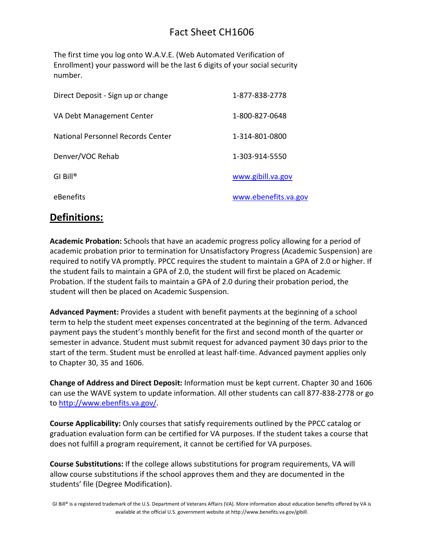## Fact Sheet CH1606

The first time you log onto W.A.V.E. (Web Automated Verification of Enrollment) your password will be the last 6 digits of your social security number.

| Direct Deposit - Sign up or change | 1-877-838-2778       |
|------------------------------------|----------------------|
| VA Debt Management Center          | 1-800-827-0648       |
| National Personnel Records Center  | 1-314-801-0800       |
| Denver/VOC Rehab                   | 1-303-914-5550       |
| $GI$ Bill <sup>®</sup>             | www.gibill.va.gov    |
| eBenefits                          | www.ebenefits.va.gov |

#### **Definitions:**

**Academic Probation:** Schools that have an academic progress policy allowing for a period of academic probation prior to termination for Unsatisfactory Progress (Academic Suspension) are required to notify VA promptly. PPCC requires the student to maintain a GPA of 2.0 or higher. If the student fails to maintain a GPA of 2.0, the student will first be placed on Academic Probation. If the student fails to maintain a GPA of 2.0 during their probation period, the student will then be placed on Academic Suspension.

**Advanced Payment:** Provides a student with benefit payments at the beginning of a school term to help the student meet expenses concentrated at the beginning of the term. Advanced payment pays the student's monthly benefit for the first and second month of the quarter or semester in advance. Student must submit request for advanced payment 30 days prior to the start of the term. Student must be enrolled at least half-time. Advanced payment applies only to Chapter 30, 35 and 1606.

**Change of Address and Direct Deposit:** Information must be kept current. Chapter 30 and 1606 can use the WAVE system to update information. All other students can call 877-838-2778 or go to [http://www.ebenfits.va.gov/.](http://www.ebenfits.va.gov/)

**Course Applicability:** Only courses that satisfy requirements outlined by the PPCC catalog or graduation evaluation form can be certified for VA purposes. If the student takes a course that does not fulfill a program requirement, it cannot be certified for VA purposes.

**Course Substitutions:** If the college allows substitutions for program requirements, VA will allow course substitutions if the school approves them and they are documented in the students' file (Degree Modification).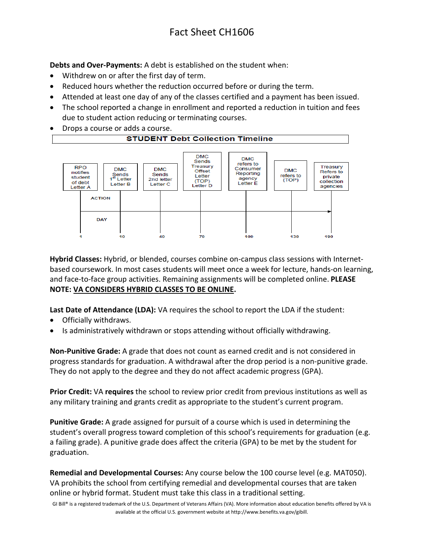**Debts and Over-Payments:** A debt is established on the student when:

- Withdrew on or after the first day of term.
- Reduced hours whether the reduction occurred before or during the term.
- Attended at least one day of any of the classes certified and a payment has been issued.
- The school reported a change in enrollment and reported a reduction in tuition and fees due to student action reducing or terminating courses.
- Drops a course or adds a course.



**Hybrid Classes:** Hybrid, or blended, courses combine on-campus class sessions with Internetbased coursework. In most cases students will meet once a week for lecture, hands-on learning, and face-to-face group activities. Remaining assignments will be completed online. **PLEASE NOTE: VA CONSIDERS HYBRID CLASSES TO BE ONLINE.**

**Last Date of Attendance (LDA):** VA requires the school to report the LDA if the student:

- Officially withdraws.
- Is administratively withdrawn or stops attending without officially withdrawing.

**Non-Punitive Grade:** A grade that does not count as earned credit and is not considered in progress standards for graduation. A withdrawal after the drop period is a non-punitive grade. They do not apply to the degree and they do not affect academic progress (GPA).

**Prior Credit:** VA **requires** the school to review prior credit from previous institutions as well as any military training and grants credit as appropriate to the student's current program.

**Punitive Grade:** A grade assigned for pursuit of a course which is used in determining the student's overall progress toward completion of this school's requirements for graduation (e.g. a failing grade). A punitive grade does affect the criteria (GPA) to be met by the student for graduation.

**Remedial and Developmental Courses:** Any course below the 100 course level (e.g. MAT050). VA prohibits the school from certifying remedial and developmental courses that are taken online or hybrid format. Student must take this class in a traditional setting.

GI Bill® is a registered trademark of the U.S. Department of Veterans Affairs (VA). More information about education benefits offered by VA is available at the official U.S. government website a[t http://www.benefits.va.gov/gibill.](http://www.benefits.va.gov/gibill)